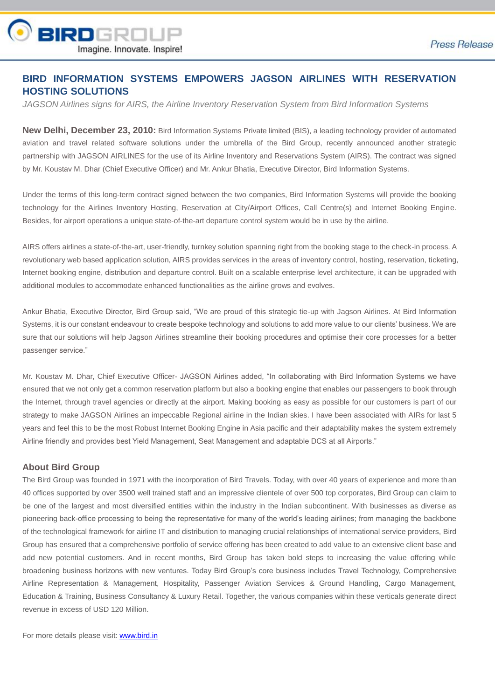

## **BIRD INFORMATION SYSTEMS EMPOWERS JAGSON AIRLINES WITH RESERVATION HOSTING SOLUTIONS**

*JAGSON Airlines signs for AIRS, the Airline Inventory Reservation System from Bird Information Systems*

**New Delhi, December 23, 2010:** Bird Information Systems Private limited (BIS), a leading technology provider of automated aviation and travel related software solutions under the umbrella of the Bird Group, recently announced another strategic partnership with JAGSON AIRLINES for the use of its Airline Inventory and Reservations System (AIRS). The contract was signed by Mr. Koustav M. Dhar (Chief Executive Officer) and Mr. Ankur Bhatia, Executive Director, Bird Information Systems.

Under the terms of this long-term contract signed between the two companies, Bird Information Systems will provide the booking technology for the Airlines Inventory Hosting, Reservation at City/Airport Offices, Call Centre(s) and Internet Booking Engine. Besides, for airport operations a unique state-of-the-art departure control system would be in use by the airline.

AIRS offers airlines a state-of-the-art, user-friendly, turnkey solution spanning right from the booking stage to the check-in process. A revolutionary web based application solution, AIRS provides services in the areas of inventory control, hosting, reservation, ticketing, Internet booking engine, distribution and departure control. Built on a scalable enterprise level architecture, it can be upgraded with additional modules to accommodate enhanced functionalities as the airline grows and evolves.

Ankur Bhatia, Executive Director, Bird Group said, "We are proud of this strategic tie-up with Jagson Airlines. At Bird Information Systems, it is our constant endeavour to create bespoke technology and solutions to add more value to our clients' business. We are sure that our solutions will help Jagson Airlines streamline their booking procedures and optimise their core processes for a better passenger service."

Mr. Koustav M. Dhar, Chief Executive Officer- JAGSON Airlines added, "In collaborating with Bird Information Systems we have ensured that we not only get a common reservation platform but also a booking engine that enables our passengers to book through the Internet, through travel agencies or directly at the airport. Making booking as easy as possible for our customers is part of our strategy to make JAGSON Airlines an impeccable Regional airline in the Indian skies. I have been associated with AIRs for last 5 years and feel this to be the most Robust Internet Booking Engine in Asia pacific and their adaptability makes the system extremely Airline friendly and provides best Yield Management, Seat Management and adaptable DCS at all Airports."

## **About Bird Group**

The Bird Group was founded in 1971 with the incorporation of Bird Travels. Today, with over 40 years of experience and more than 40 offices supported by over 3500 well trained staff and an impressive clientele of over 500 top corporates, Bird Group can claim to be one of the largest and most diversified entities within the industry in the Indian subcontinent. With businesses as diverse as pioneering back-office processing to being the representative for many of the world's leading airlines; from managing the backbone of the technological framework for airline IT and distribution to managing crucial relationships of international service providers, Bird Group has ensured that a comprehensive portfolio of service offering has been created to add value to an extensive client base and add new potential customers. And in recent months, Bird Group has taken bold steps to increasing the value offering while broadening business horizons with new ventures. Today Bird Group's core business includes Travel Technology, Comprehensive Airline Representation & Management, Hospitality, Passenger Aviation Services & Ground Handling, Cargo Management, Education & Training, Business Consultancy & Luxury Retail. Together, the various companies within these verticals generate direct revenue in excess of USD 120 Million.

For more details please visit: [www.bird.in](http://www.bird.in/)